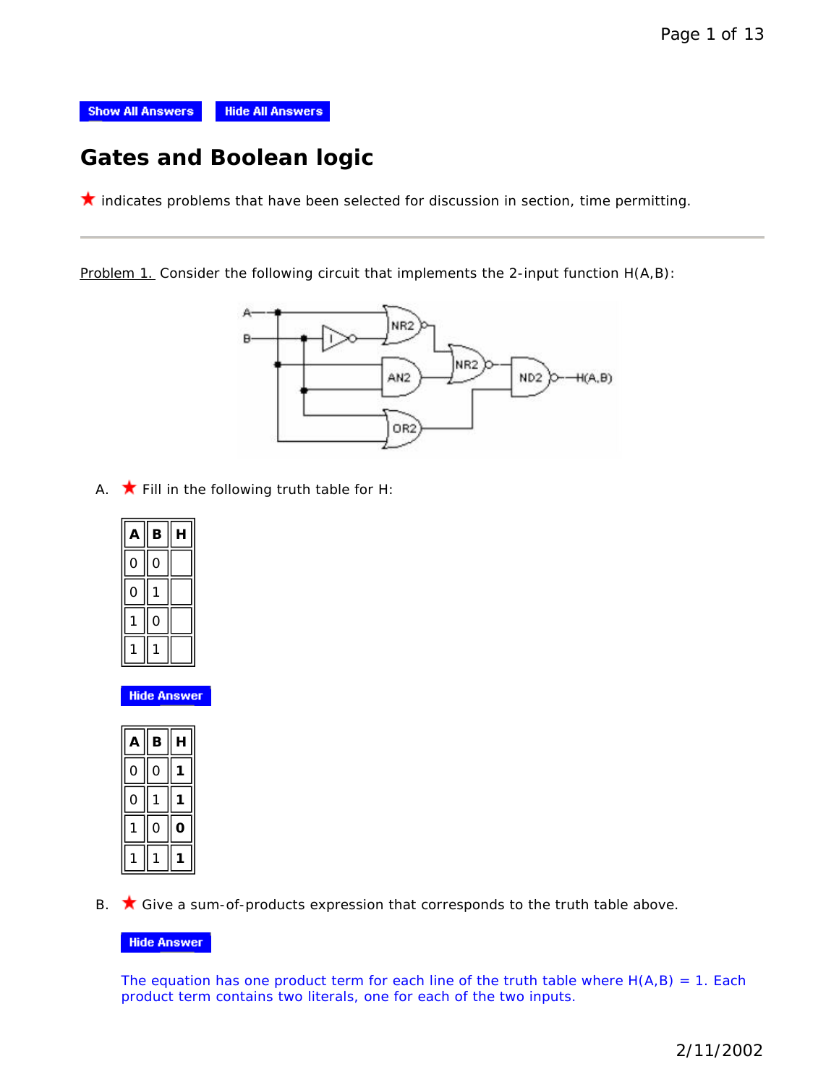

# **Gates and Boolean logic**

 $\star$  indicates problems that have been selected for discussion in section, time permitting.

Problem 1. Consider the following circuit that implements the 2-input function H(A,B):



A.  $\bigstar$  Fill in the following truth table for H:

| A | B | Н |
|---|---|---|
|   | Ο |   |
|   |   |   |
|   |   |   |
|   |   |   |

**Hide Answer** 

| Δ | в | н |
|---|---|---|
|   |   |   |
|   |   |   |
|   |   |   |
|   |   |   |

B.  $\bigstar$  Give a sum-of-products expression that corresponds to the truth table above.

## **Hide Answer**

The equation has one product term for each line of the truth table where  $H(A,B) = 1$ . Each product term contains two literals, one for each of the two inputs.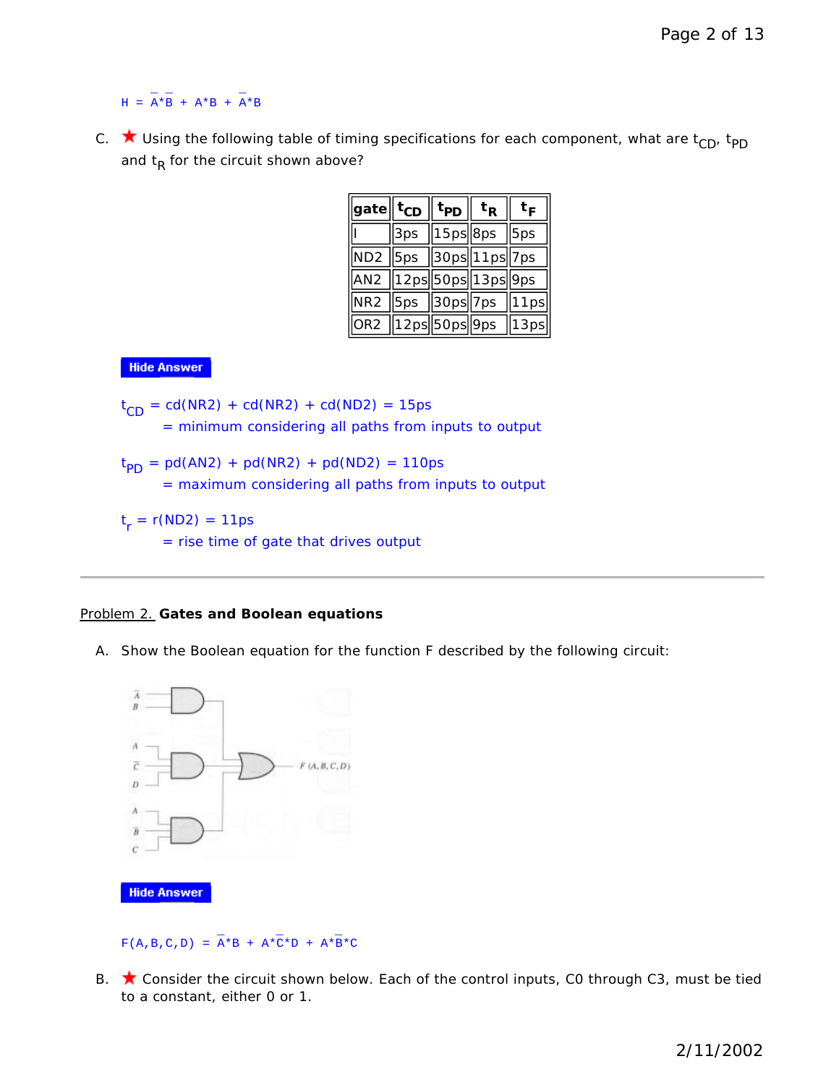$\mathcal{L} = \mathcal{L} \times \mathcal{L} = \mathcal{L}$  $H = A*B + A*B + A*B$ 

C.  $\star$  Using the following table of timing specifications for each component, what are t<sub>CD</sub>, t<sub>PD</sub> and  $t_R$  for the circuit shown above?

| $ {\mathsf{gate}}\ $ t <sub>CD</sub> $\ $ t <sub>PD</sub> $\ $ t $_{\mathsf{R}}$ |                                        | $t_F$ |  |
|----------------------------------------------------------------------------------|----------------------------------------|-------|--|
|                                                                                  | $\sqrt{3} \text{ps}$   15ps  8ps   5ps |       |  |
| $\boxed{\text{ND2}}$ 5ps $\boxed{30}$ ps $\boxed{11}$ ps $\boxed{7}$ ps          |                                        |       |  |
| AN2 12ps 50ps 13ps 9ps                                                           |                                        |       |  |
| NR2 5ps 30ps 7ps 11ps                                                            |                                        |       |  |
| $\sqrt{OR2}$ $\sqrt{12ps}$ 50ps $\sqrt{9ps}$ $\sqrt{13ps}$                       |                                        |       |  |

## **Hide Answer**

 $t_{CD} = cd(NR2) + cd(NR2) + cd(ND2) = 15ps$ = minimum considering all paths from inputs to output  $t_{PD} = pd(AN2) + pd(NR2) + pd(ND2) = 110ps$ = maximum considering all paths from inputs to output  $t_r = r(ND2) = 11ps$ = rise time of gate that drives output

## Problem 2. **Gates and Boolean equations**

A. Show the Boolean equation for the function F described by the following circuit:



**Hide Answer** 

#### $\bot$  and  $\bot$  and  $\bot$  $F(A,B,C,D) = A*B + A*C*D + A*B*C$

B. ★ Consider the circuit shown below. Each of the control inputs, C0 through C3, must be tied to a constant, either 0 or 1.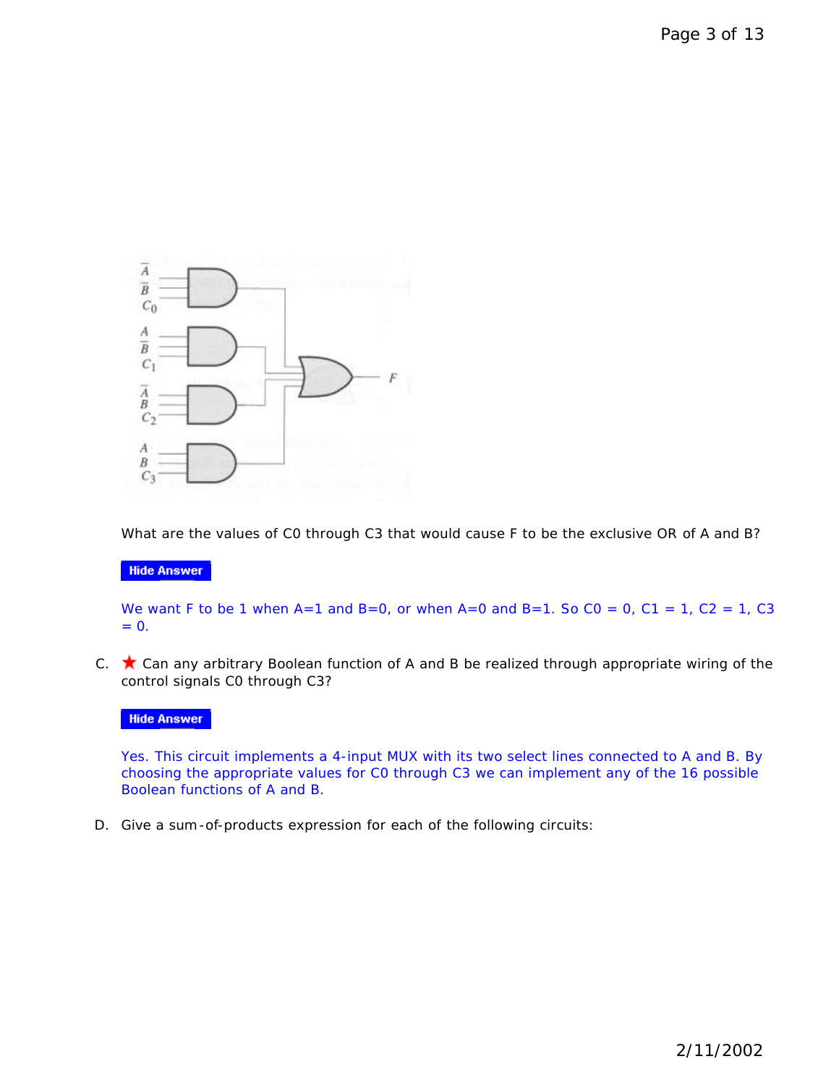

What are the values of C0 through C3 that would cause F to be the *exclusive OR* of A and B?

## **Hide Answer**

We want F to be 1 when A=1 and B=0, or when A=0 and B=1. So  $CO = 0$ ,  $C1 = 1$ ,  $C2 = 1$ ,  $C3$  $= 0.$ 

C.  $\bigstar$  Can any arbitrary Boolean function of A and B be realized through appropriate wiring of the control signals C0 through C3?

## **Hide Answer**

Yes. This circuit implements a 4-input MUX with its two select lines connected to A and B. By choosing the appropriate values for C0 through C3 we can implement any of the 16 possible Boolean functions of A and B.

D. Give a sum-of-products expression for each of the following circuits: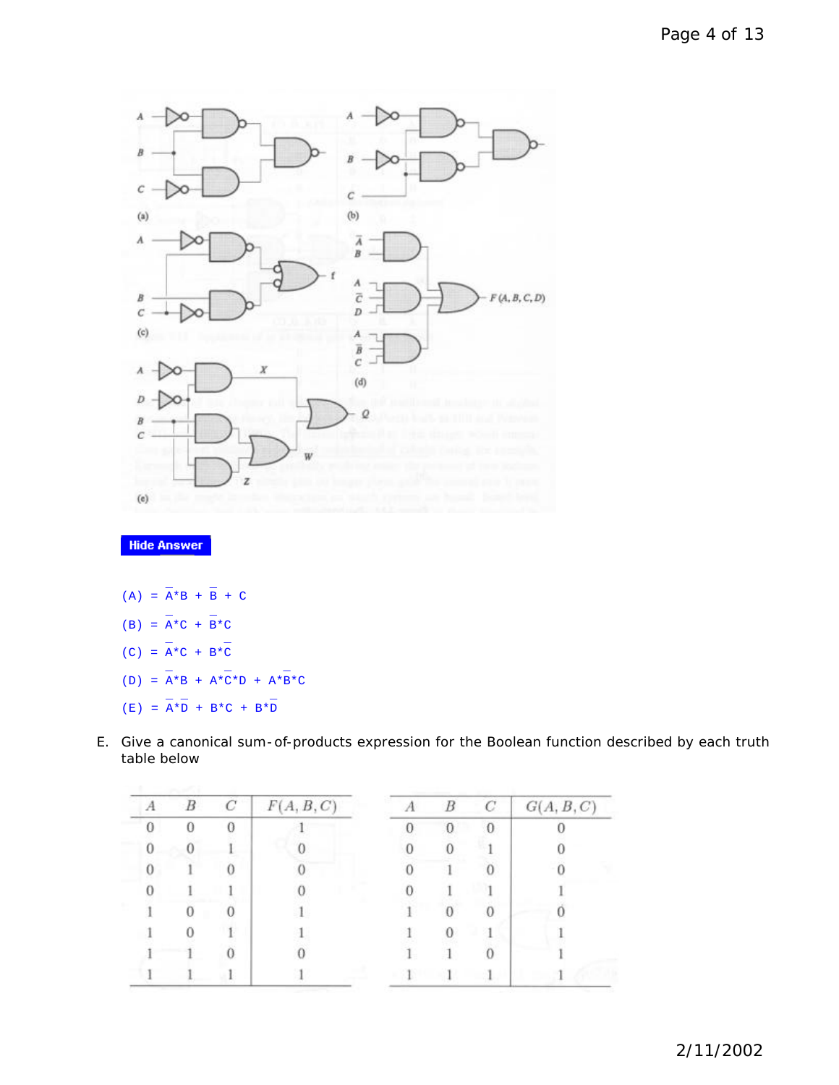

## **Hide Answer**

- $\mathbb{L}$  and  $\mathbb{L}$  $(A) = A*B + B + C$  $\mathbb{L}$  and  $\mathbb{L}$  $(B) = A*C + B*C$  $\mathbb{L}$  and  $\mathbb{L}$  $(C) = A*C + B*C$  $\bot$  and  $\bot$  and  $\bot$  and  $\bot$  $(D) = A*B + A*C*D + A*B*C$  $\bot$   $\bot$
- $(E) = A*D + B*C + B*D$
- E. Give a canonical sum-of-products expression for the Boolean function described by each truth table below

| А | $\boldsymbol{B}$ | C | F(A, B, C) | B        | C        | G(A, B, C) |
|---|------------------|---|------------|----------|----------|------------|
|   |                  |   |            | $\Omega$ | $\Omega$ |            |
| 0 |                  |   |            |          |          |            |
|   |                  |   |            |          |          |            |
|   |                  |   |            |          |          |            |
|   |                  |   |            |          |          |            |
|   |                  |   |            |          |          |            |
|   |                  |   |            |          |          |            |
|   |                  |   |            |          |          |            |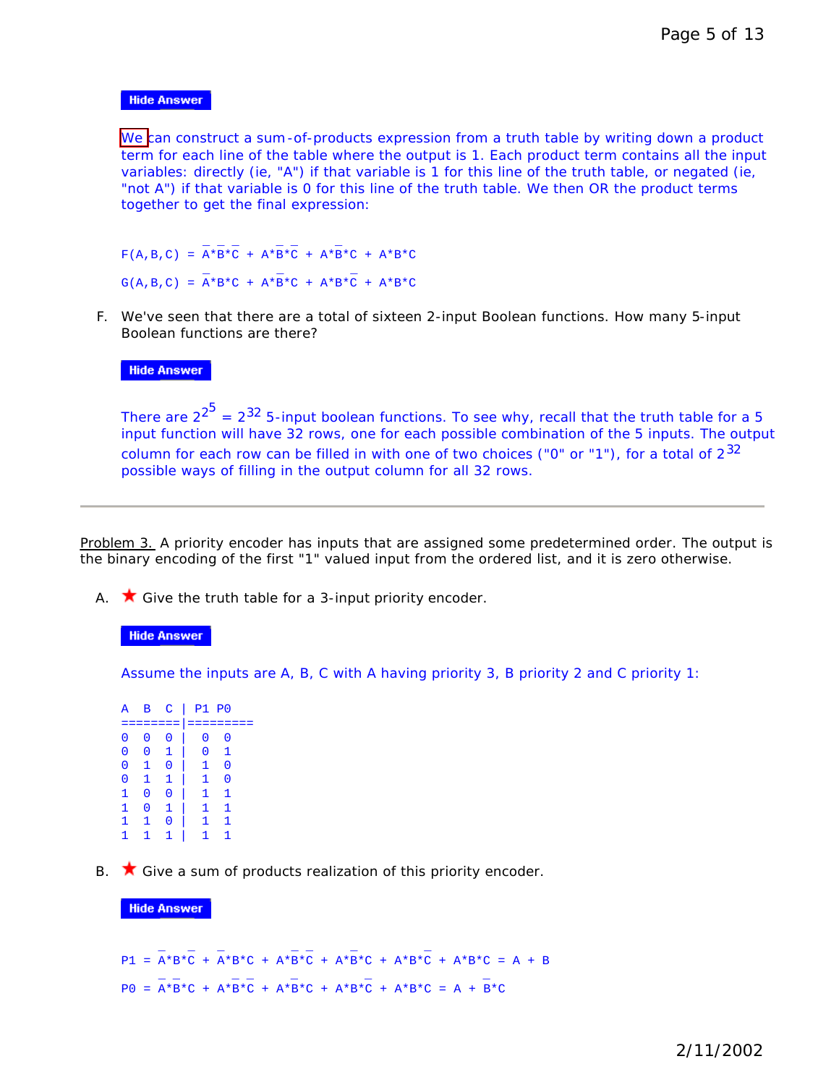## **Hide Answer**

We can construct a sum-of-products expression from a truth table by writing down a product term for each line of the table where the output is 1. Each product term contains all the input variables: directly (ie, "A") if that variable is 1 for this line of the truth table, or negated (ie, "not A") if that variable is 0 for this line of the truth table. We then OR the product terms together to get the final expression:

```
\bot \bot \bot \bot \bot \bot \bot \botF(A,B,C) = A*B*C + A*B*C + A*B*C + A*B*C\bot and \bot and \bot and \botG(A,B,C) = A*B*C + A*B*C + A*B*C + A*B*C
```
F. We've seen that there are a total of sixteen 2-input Boolean functions. How many 5-input Boolean functions are there?

#### **Hide Answer**

There are 2 $^{2^5}$  = 2 $^{32}$  5-input boolean functions. To see why, recall that the truth table for a 5 input function will have 32 rows, one for each possible combination of the 5 inputs. The output column for each row can be filled in with one of two choices ("0" or "1"), for a total of  $2^{32}$ possible ways of filling in the output column for all 32 rows.

Problem 3. A priority encoder has inputs that are assigned some predetermined order. The output is the binary encoding of the first "1" valued input from the ordered list, and it is zero otherwise.

A.  $\star$  Give the truth table for a 3-input priority encoder.

## **Hide Answer**

Assume the inputs are A, B, C with A having priority 3, B priority 2 and C priority 1:

|   |                     |              | A B C   P1 P0                      |              |  |
|---|---------------------|--------------|------------------------------------|--------------|--|
|   |                     |              |                                    |              |  |
|   | $0\quad 0\quad 0$   |              | $\begin{array}{ccc} \n\end{array}$ | 0            |  |
|   |                     |              | 0 0 1   0 1                        |              |  |
|   | $0\quad 1\quad 0$   |              |                                    | $\Omega$     |  |
|   | $0 \quad 1 \quad 1$ |              | $\mathbf{1}$                       | 0            |  |
|   | $1\quad 0$          | $\mathbf 0$  | $\mathbf{1}$                       | 1            |  |
|   | $1 \quad 0 \quad 1$ |              | $\vert$ 1                          | $\mathbf{1}$ |  |
|   | $1\quad 1$          | - 0          | $\mathbf{1}$                       | $\mathbf{1}$ |  |
| 1 | $\mathbf{1}$        | $\mathbf{1}$ | $\mathbf{1}$                       |              |  |

B.  $\star$  Give a sum of products realization of this priority encoder.

#### **Hide Answer**

\_ \_ \_ \_ \_ \_ \_  $P1 = A*B*C + A*B*C + A*B*C + A*B*C + A*B*C + A*B*C + A*B*C = A + B$  $\mathbb{L} \subseteq \mathbb{L}$  and  $\mathbb{L} \subseteq \mathbb{L}$  and  $\mathbb{L} \subseteq \mathbb{L}$  and  $\mathbb{L} \subseteq \mathbb{L}$  and  $\mathbb{L} \subseteq \mathbb{L}$  $P0 = A*B*C + A*B*C + A*B*C + A*B*C + A*B*C = A + B*C$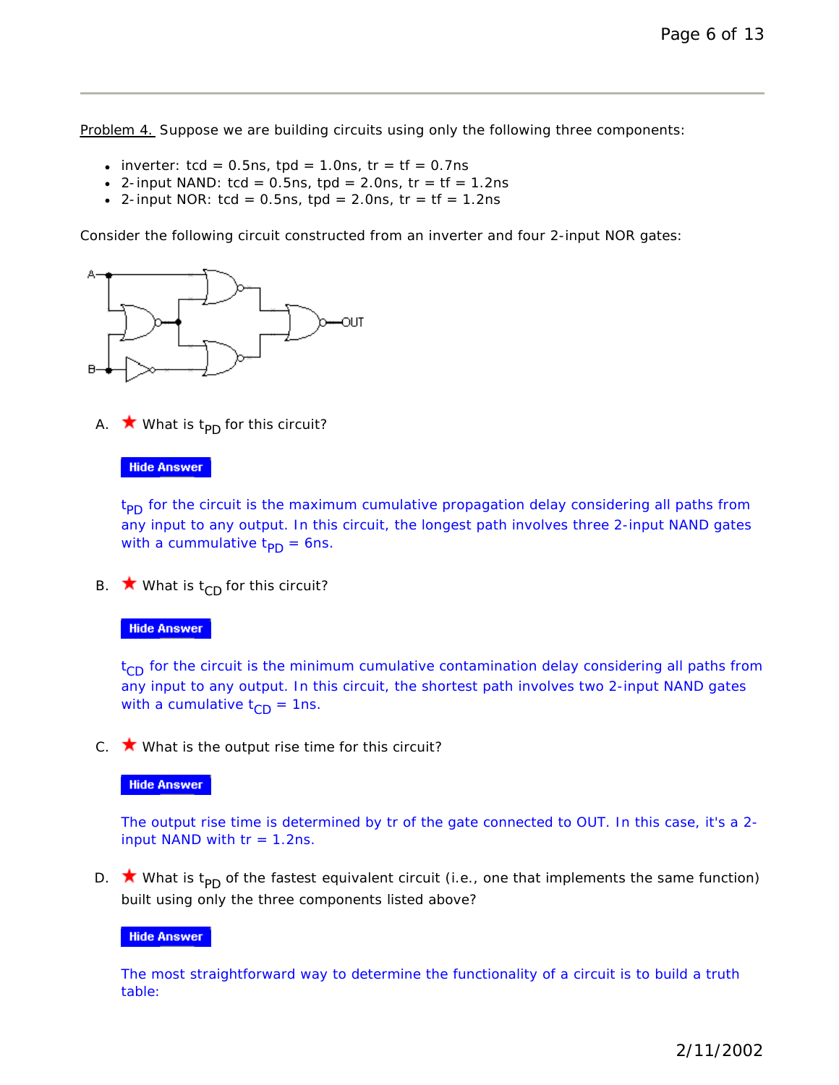Problem 4. Suppose we are building circuits using only the following three components:

- inverter:  $tcd = 0.5$ ns,  $tpd = 1.0$ ns,  $tr = tf = 0.7$ ns
- 2-input NAND:  $tcd = 0.5$ ns,  $tpd = 2.0$ ns,  $tr = tf = 1.2$ ns
- 2-input NOR:  $tcd = 0.5$ ns,  $tpd = 2.0$ ns,  $tr = tf = 1.2$ ns

Consider the following circuit constructed from an inverter and four 2-input NOR gates:



A.  $\star$  What is t<sub>PD</sub> for this circuit?

#### **Hide Answer**

t<sub>PD</sub> for the circuit is the maximum cumulative propagation delay considering all paths from any input to any output. In this circuit, the longest path involves three 2-input NAND gates with a cummulative  $t_{\text{PD}} = 6$ ns.

B.  $\star$  What is t<sub>CD</sub> for this circuit?

### **Hide Answer**

 $t_{CD}$  for the circuit is the minimum cumulative contamination delay considering all paths from any input to any output. In this circuit, the shortest path involves two 2-input NAND gates with a cumulative  $t_{CD} = 1$ ns.

C.  $\star$  What is the output rise time for this circuit?

#### **Hide Answer**

The output rise time is determined by tr of the gate connected to OUT. In this case, it's a 2 input NAND with  $tr = 1.2$ ns.

D. **\*** What is  $t_{\text{PD}}$  of the *fastest* equivalent circuit (i.e., one that implements the same function) built using only the three components listed above?

#### **Hide Answer**

The most straightforward way to determine the functionality of a circuit is to build a truth table: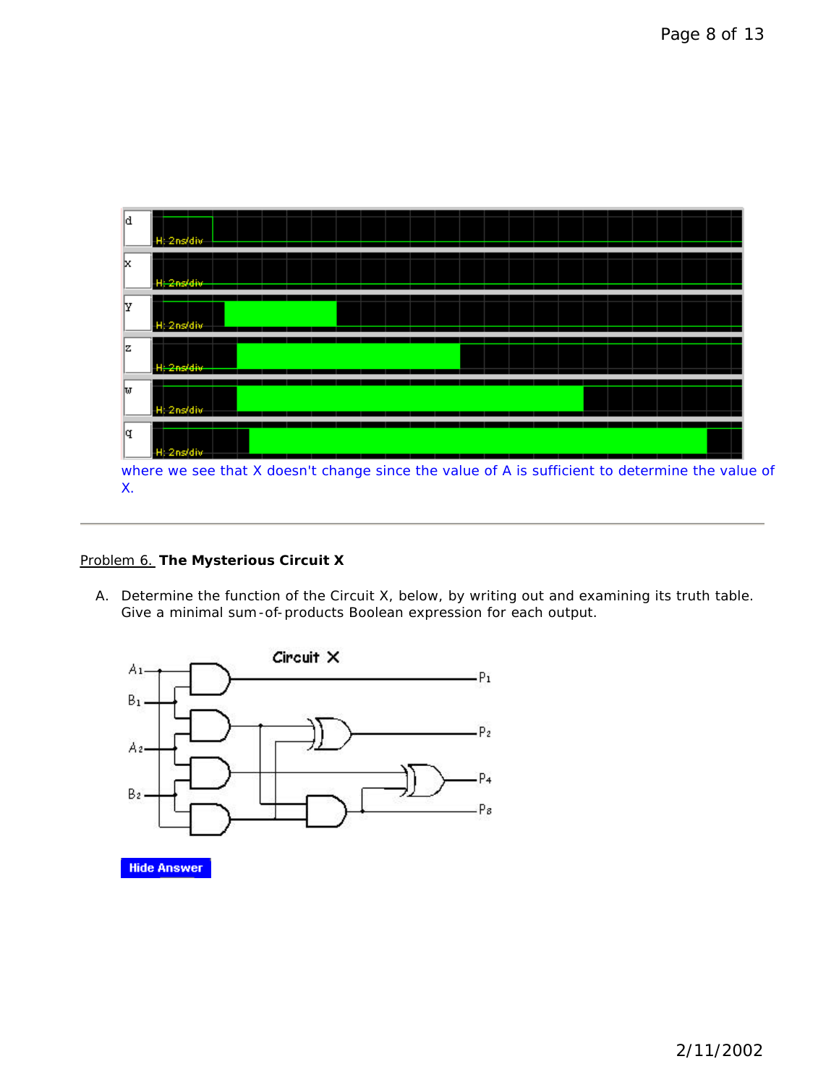

X.

## Problem 6. **The Mysterious Circuit X**

A. Determine the function of the Circuit X, below, by writing out and examining its truth table. Give a minimal sum-of-products Boolean expression for each output.



**Hide Answer**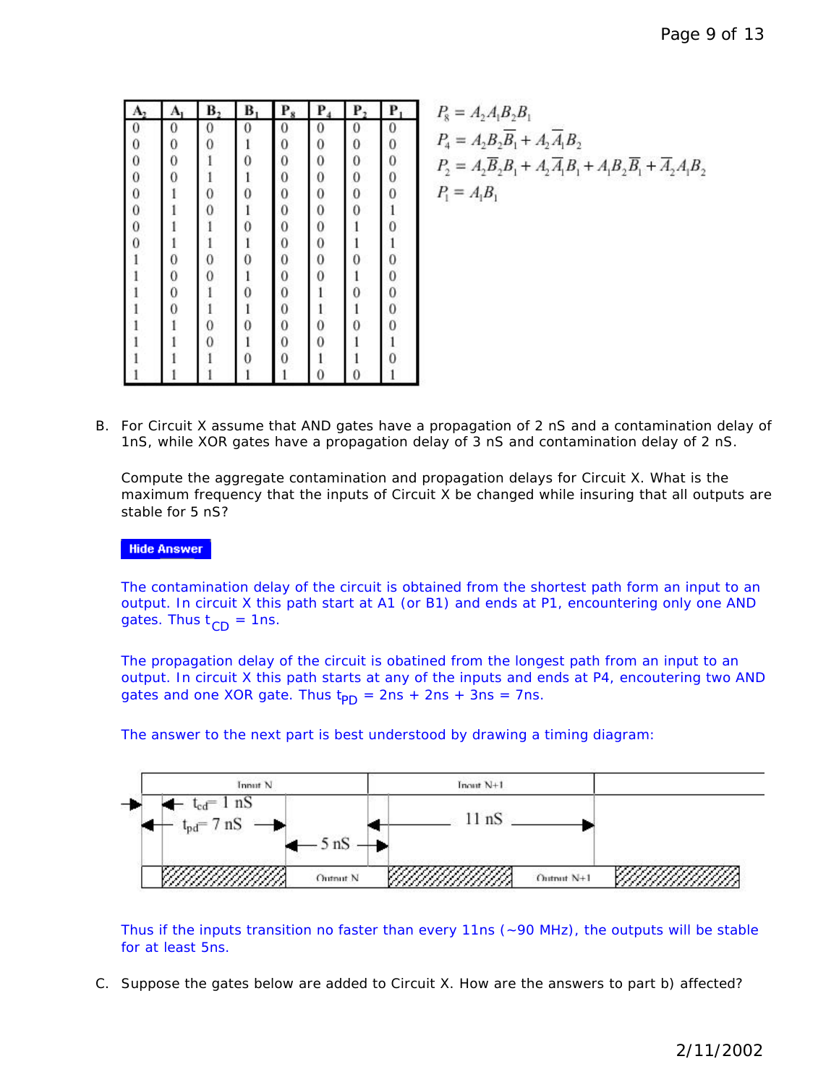| А              | Ą                                           | В,             | B | $P_8$          | P                                         | Р,             | P            |
|----------------|---------------------------------------------|----------------|---|----------------|-------------------------------------------|----------------|--------------|
| 0              | 0                                           | 0              | 0 | 0              | 0                                         | 0              | $\mathbf{0}$ |
| $\overline{0}$ | $\mathbf{0}$                                | $\overline{0}$ | l | $\mathbf{0}$   | $\mathbf{0}$                              | $\bf{0}$       | $\bf{0}$     |
| $\mathbf{0}$   | $\mathbf 0$                                 |                | 0 | $\mathbf{0}$   | $\overline{0}$                            | 0              | 0            |
| $\bf{0}$       | $\overline{0}$                              |                |   | $\mathbf{0}$   | $\mathbf{0}$                              | $\overline{0}$ | $\mathbf{0}$ |
| $\bf{0}$       |                                             | 0              | 0 | $\mathbf{0}$   | $\mathbf 0$                               | 0              | 0            |
| $\mathbf{0}$   |                                             | $\overline{0}$ | 1 | $\mathbf{0}$   | $\overline{0}$                            | $\overline{0}$ | $\mathbf{1}$ |
| $\bf{0}$       |                                             |                | 0 | $\overline{0}$ | $\overline{0}$                            |                | 0            |
| $\overline{0}$ | 1                                           |                | 1 | $\mathbf{0}$   |                                           |                | $\mathbf{1}$ |
|                |                                             | 0              | Ö | $\mathbf{0}$   | $\begin{matrix} 0 \\ 0 \\ 0 \end{matrix}$ | 0              | $\mathbf{0}$ |
|                | $\begin{smallmatrix}0\0\0\end{smallmatrix}$ | 0              |   | $\mathbf{0}$   |                                           |                | $\mathbf{0}$ |
|                |                                             |                |   | $\mathbf{0}$   |                                           | 0              | $\mathbf{0}$ |
|                | $\overline{0}$                              |                |   | $\mathbf{0}$   |                                           |                | $\bf{0}$     |
|                |                                             | 0              | 0 | $\mathbf{0}$   | 0                                         | 0              | 0            |
|                |                                             | $\overline{0}$ |   | $\overline{0}$ | 0                                         |                | i            |
|                |                                             |                |   | 0              |                                           |                | 0            |
|                |                                             |                |   |                | 0                                         | 0              |              |

$$
P_8 = A_2 A_1 B_2 B_1
$$
  
\n
$$
P_4 = A_2 B_2 \overline{B_1} + A_2 \overline{A_1} B_2
$$
  
\n
$$
P_2 = A_2 \overline{B_2} B_1 + A_2 \overline{A_1} B_1 + A_1 B_2 \overline{B_1} + \overline{A_2} A_1 B_2
$$
  
\n
$$
P_1 = A_1 B_1
$$

B. For Circuit X assume that AND gates have a propagation of 2 nS and a contamination delay of 1nS, while XOR gates have a propagation delay of 3 nS and contamination delay of 2 nS.

Compute the aggregate contamination and propagation delays for Circuit X. What is the maximum frequency that the inputs of Circuit X be changed while insuring that all outputs are stable for 5 nS?

## **Hide Answer**

The contamination delay of the circuit is obtained from the shortest path form an input to an output. In circuit X this path start at A1 (or B1) and ends at P1, encountering only one AND gates. Thus  $t_{CD} = 1$ ns.

The propagation delay of the circuit is obatined from the longest path from an input to an output. In circuit X this path starts at any of the inputs and ends at P4, encoutering two AND gates and one XOR gate. Thus  $t_{PD} = 2ns + 2ns + 3ns = 7ns$ .



The answer to the next part is best understood by drawing a timing diagram:

Thus if the inputs transition no faster than every 11ns (~90 MHz), the outputs will be stable for at least 5ns.

C. Suppose the gates below are added to Circuit X. How are the answers to part b) affected?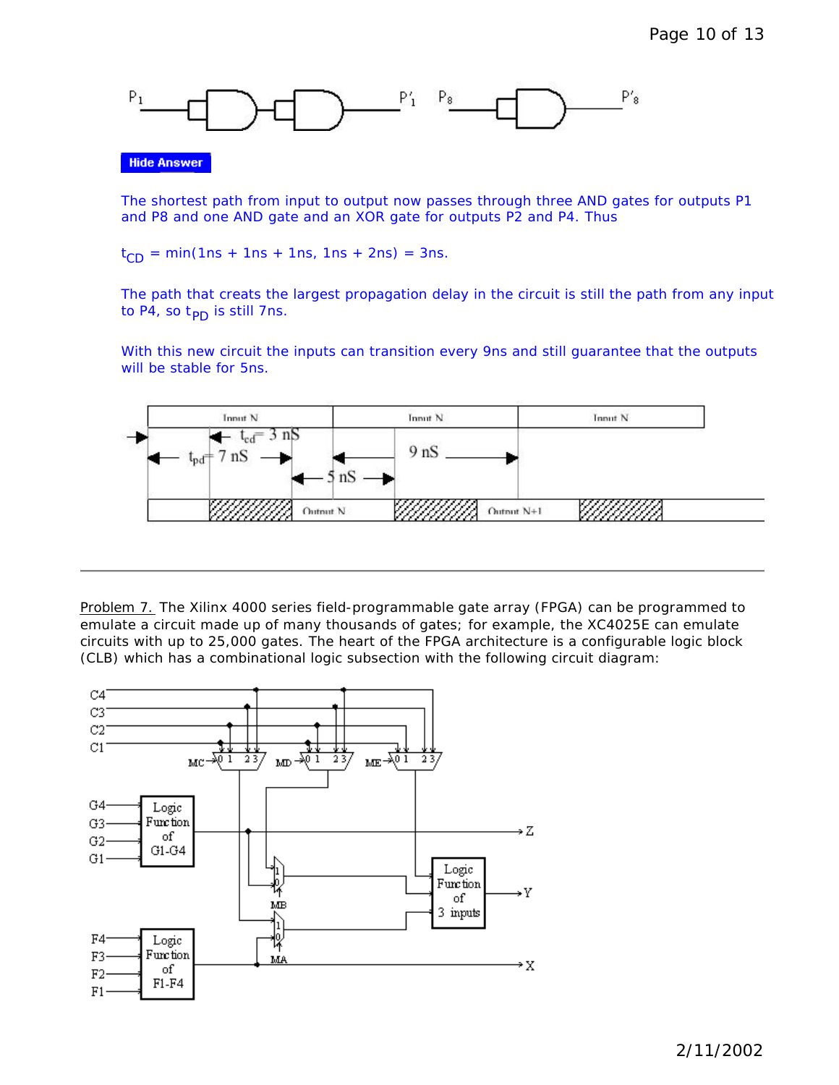

**Hide Answer** 

The shortest path from input to output now passes through three AND gates for outputs P1 and P8 and one AND gate and an XOR gate for outputs P2 and P4. Thus

 $t_{CD}$  = min(1ns + 1ns + 1ns, 1ns + 2ns) = 3ns.

The path that creats the largest propagation delay in the circuit is still the path from any input to P4, so  $t_{\text{PD}}$  is still 7ns.

With this new circuit the inputs can transition every 9ns and still guarantee that the outputs will be stable for 5ns.



Problem 7. The Xilinx 4000 series field-programmable gate array (FPGA) can be programmed to emulate a circuit made up of many thousands of gates; for example, the XC4025E can emulate circuits with up to 25,000 gates. The heart of the FPGA architecture is a configurable logic block (CLB) which has a combinational logic subsection with the following circuit diagram:

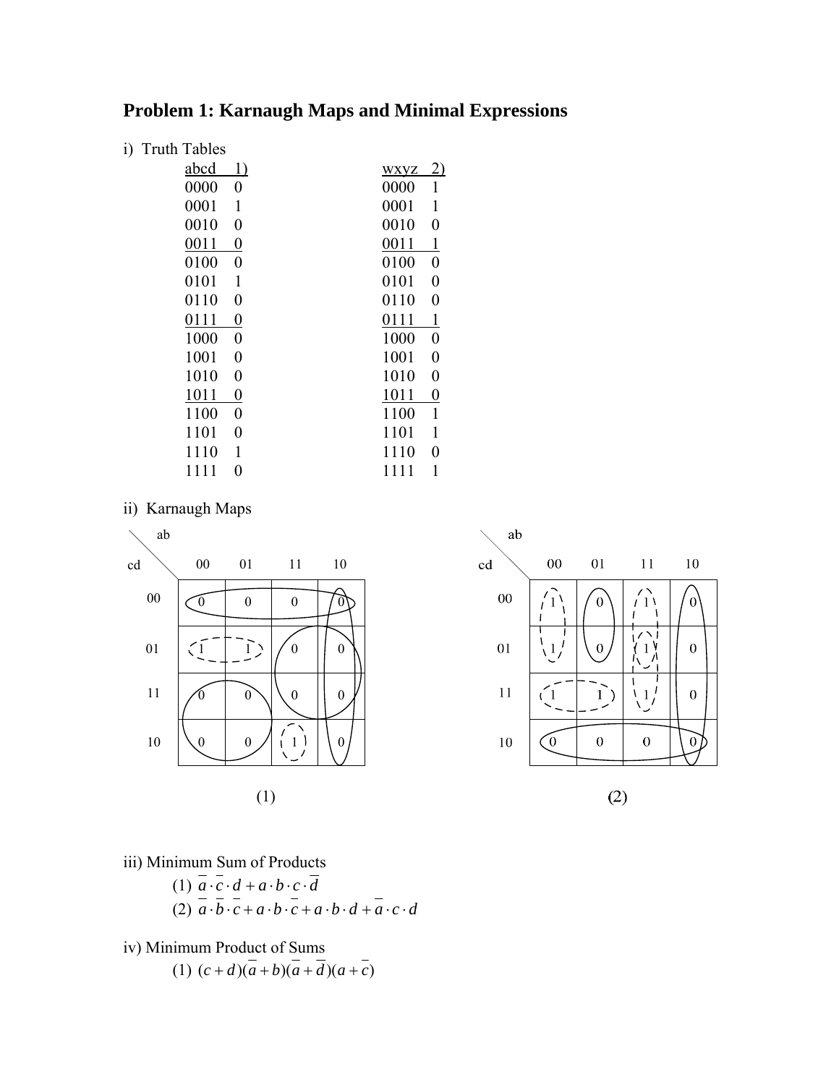## **Problem 1: Karnaugh Maps and Minimal Expressions**

| $\ddot{i}$ | <b>Truth Tables</b>      |                          |
|------------|--------------------------|--------------------------|
|            | abcd<br>1)               | <u>2)</u><br><b>WXVZ</b> |
|            | 0000<br>0                | 0000<br>1                |
|            | 0001<br>1                | 0001<br>1                |
|            | 0010<br>$\overline{0}$   | 0010<br>0                |
|            | 0011<br>0                | 1<br>0011                |
|            | 0100<br>0                | 0100<br>0                |
|            | 0101<br>1                | 0101<br>0                |
|            | 0110<br>0                | 0110<br>0                |
|            | 0111<br>$\pmb{0}$        | $\mathbf{1}$<br>0111     |
|            | 1000<br>0                | 1000<br>0                |
|            | 1001<br>0                | 1001<br>0                |
|            | 1010<br>0                | 1010<br>0                |
|            | 1011<br>0                | 1011<br>0                |
|            | 1100<br>$\boldsymbol{0}$ | $\mathbf{1}$<br>1100     |
|            | 1101<br>0                | 1101<br>1                |
|            | 1<br>1110                | 1110<br>0                |
|            | 0<br>1111                | 1<br>1111                |
|            |                          |                          |

ii) Karnaugh Maps



 $10<sup>1</sup>$ 

 $\sigma$ 

 $\overline{0}$ 

 $\mathbf{0}$ 

 $\overline{0}$ 

iii) Minimum Sum of Products

- $(1)$   $a \cdot c \cdot d + a \cdot b \cdot c \cdot d$  $(2)$   $a \cdot b \cdot c + a \cdot b \cdot c + a \cdot b \cdot d + a \cdot c \cdot d$
- iv) Minimum Product of Sums
	- $(1)$   $(c+d)(a+b)(a+d)(a+c)$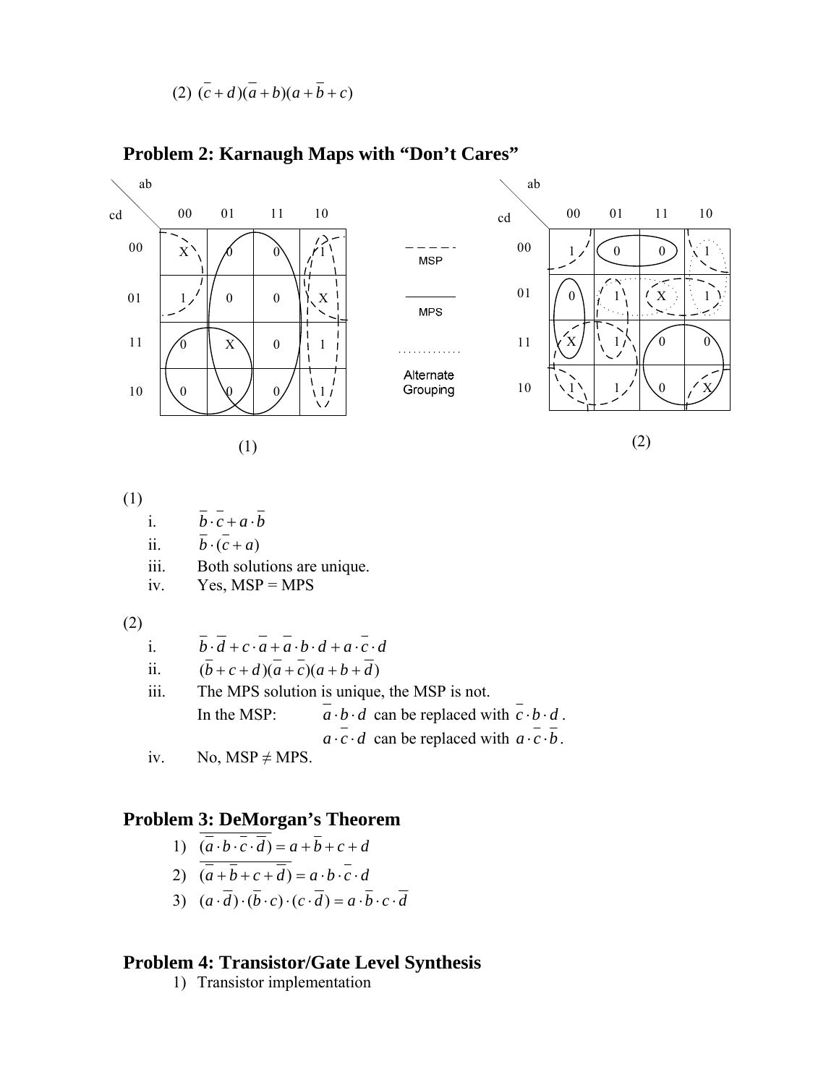$$
(2)\ \overline{(c+d)(a+b)(a+\overline{b}+c)}
$$



## **Problem 2: Karnaugh Maps with "Don't Cares"**

(1)

i. 
$$
\overline{b} \cdot \overline{c} + a \cdot \overline{b}
$$

ii. 
$$
\overline{b} \cdot (\overline{c} + a)
$$

iii. Both solutions are unique.

$$
iv. \tYes, MSP = MPS
$$

(2)

i. 
$$
\overline{b} \cdot \overline{d} + c \cdot \overline{a} + \overline{a} \cdot \overline{b} \cdot \overline{d} + a \cdot \overline{c} \cdot \overline{d}
$$

ii.  $(\bar{b} + c + d)(\bar{a} + c)(a + b + \bar{d})$ 

iii. The MPS solution is unique, the MSP is not.  
\nIn the MSP: 
$$
\vec{a} \cdot \vec{b} \cdot \vec{d}
$$
 can be replaced with  $\vec{c} \cdot \vec{b} \cdot \vec{d}$ .  
\n $\vec{a} \cdot \vec{c} \cdot \vec{d}$  can be replaced with  $\vec{a} \cdot \vec{c} \cdot \vec{b}$ .

iv. No,  $MSP \neq MPS$ .

## **Problem 3: DeMorgan's Theorem**

1) 
$$
(\overline{a \cdot b \cdot c \cdot d}) = a + \overline{b} + c + d
$$

2) 
$$
(\overline{a} + \overline{b} + c + \overline{d}) = a \cdot b \cdot \overline{c} \cdot d
$$

3) 
$$
(a \cdot \overline{d}) \cdot (\overline{b} \cdot c) \cdot (c \cdot \overline{d}) = a \cdot \overline{b} \cdot c \cdot \overline{d}
$$

## **Problem 4: Transistor/Gate Level Synthesis**

1) Transistor implementation